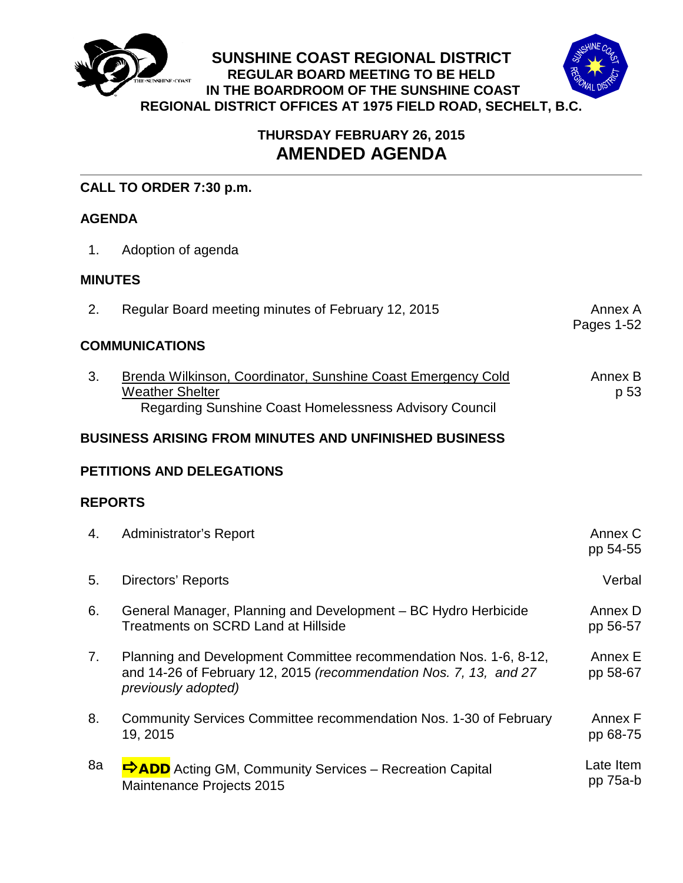

# **THURSDAY FEBRUARY 26, 2015 AMENDED AGENDA**

## **CALL TO ORDER 7:30 p.m.**

## **AGENDA**

1. Adoption of agenda

## **MINUTES**

2. Regular Board meeting minutes of February 12, 2015

Pages 1-52

## **COMMUNICATIONS**

3. Brenda Wilkinson, Coordinator, Sunshine Coast Emergency Cold Weather Shelter Regarding Sunshine Coast Homelessness Advisory Council Annex B p 53

## **BUSINESS ARISING FROM MINUTES AND UNFINISHED BUSINESS**

## **PETITIONS AND DELEGATIONS**

## **REPORTS**

| 4. | <b>Administrator's Report</b>                                                                                                                                 | Annex C<br>pp 54-55   |
|----|---------------------------------------------------------------------------------------------------------------------------------------------------------------|-----------------------|
| 5. | Directors' Reports                                                                                                                                            | Verbal                |
| 6. | General Manager, Planning and Development – BC Hydro Herbicide<br><b>Treatments on SCRD Land at Hillside</b>                                                  | Annex D<br>pp 56-57   |
| 7. | Planning and Development Committee recommendation Nos. 1-6, 8-12,<br>and 14-26 of February 12, 2015 (recommendation Nos. 7, 13, and 27<br>previously adopted) | Annex E<br>pp 58-67   |
| 8. | Community Services Committee recommendation Nos. 1-30 of February<br>19, 2015                                                                                 | Annex F<br>pp 68-75   |
| 8a | ADD Acting GM, Community Services – Recreation Capital<br>Maintenance Projects 2015                                                                           | Late Item<br>pp 75a-b |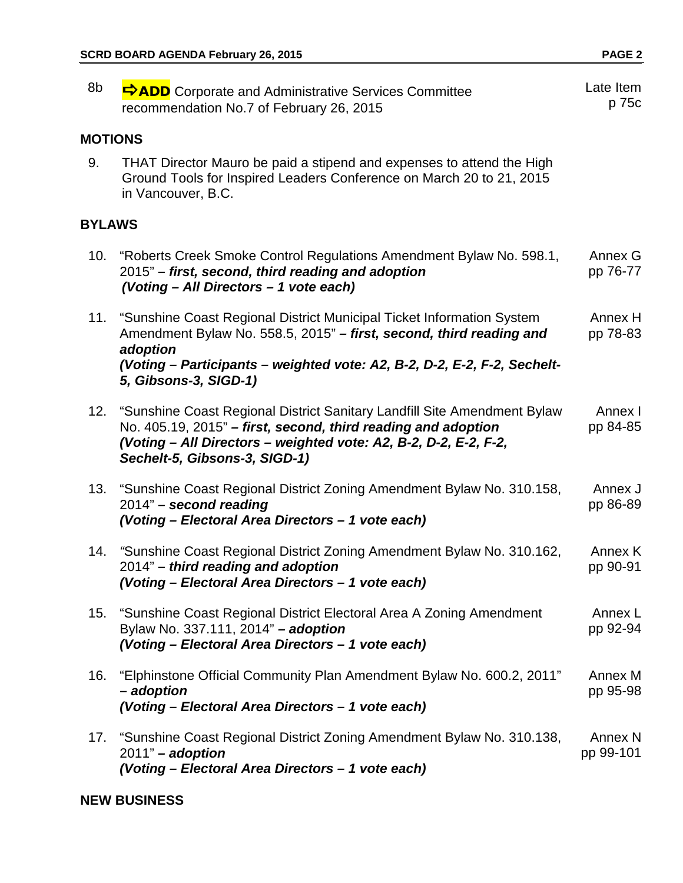| 8b             | <b>D</b> Corporate and Administrative Services Committee<br>recommendation No.7 of February 26, 2015                                                                                                                                               | Late Item<br>p 75c              |
|----------------|----------------------------------------------------------------------------------------------------------------------------------------------------------------------------------------------------------------------------------------------------|---------------------------------|
| <b>MOTIONS</b> |                                                                                                                                                                                                                                                    |                                 |
| 9.             | THAT Director Mauro be paid a stipend and expenses to attend the High<br>Ground Tools for Inspired Leaders Conference on March 20 to 21, 2015<br>in Vancouver, B.C.                                                                                |                                 |
| <b>BYLAWS</b>  |                                                                                                                                                                                                                                                    |                                 |
| 10.            | "Roberts Creek Smoke Control Regulations Amendment Bylaw No. 598.1,<br>2015" – first, second, third reading and adoption<br>(Voting - All Directors - 1 vote each)                                                                                 | Annex G<br>pp 76-77             |
|                | 11. "Sunshine Coast Regional District Municipal Ticket Information System<br>Amendment Bylaw No. 558.5, 2015" - first, second, third reading and<br>adoption                                                                                       | Annex H<br>pp 78-83             |
|                | (Voting - Participants - weighted vote: A2, B-2, D-2, E-2, F-2, Sechelt-<br>5, Gibsons-3, SIGD-1)                                                                                                                                                  |                                 |
|                | 12. "Sunshine Coast Regional District Sanitary Landfill Site Amendment Bylaw<br>No. 405.19, 2015" – first, second, third reading and adoption<br>(Voting - All Directors - weighted vote: A2, B-2, D-2, E-2, F-2,<br>Sechelt-5, Gibsons-3, SIGD-1) | Annex I<br>pp 84-85             |
| 13.            | "Sunshine Coast Regional District Zoning Amendment Bylaw No. 310.158,<br>2014" - second reading<br>(Voting - Electoral Area Directors - 1 vote each)                                                                                               | Annex J<br>pp 86-89             |
| 14.            | "Sunshine Coast Regional District Zoning Amendment Bylaw No. 310.162,<br>2014" - third reading and adoption<br>(Voting - Electoral Area Directors - 1 vote each)                                                                                   | Annex K<br>pp 90-91             |
| 15.            | "Sunshine Coast Regional District Electoral Area A Zoning Amendment<br>Bylaw No. 337.111, 2014" - adoption<br>(Voting - Electoral Area Directors - 1 vote each)                                                                                    | Annex L<br>pp 92-94             |
| 16.            | "Elphinstone Official Community Plan Amendment Bylaw No. 600.2, 2011"<br>- adoption<br>(Voting - Electoral Area Directors - 1 vote each)                                                                                                           | Annex M<br>pp 95-98             |
| 17.            | "Sunshine Coast Regional District Zoning Amendment Bylaw No. 310.138,<br>$2011"$ – adoption<br>(Voting - Electoral Area Directors - 1 vote each)                                                                                                   | Annex <sub>N</sub><br>pp 99-101 |

## **NEW BUSINESS**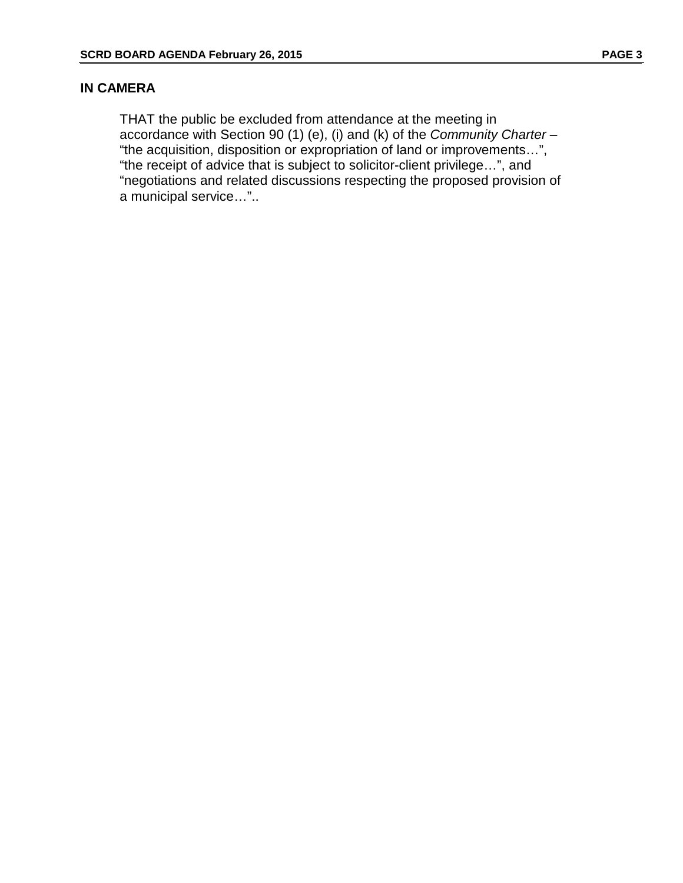## **IN CAMERA**

THAT the public be excluded from attendance at the meeting in accordance with Section 90 (1) (e), (i) and (k) of the *Community Charter –* "the acquisition, disposition or expropriation of land or improvements…", "the receipt of advice that is subject to solicitor-client privilege…", and "negotiations and related discussions respecting the proposed provision of a municipal service…"..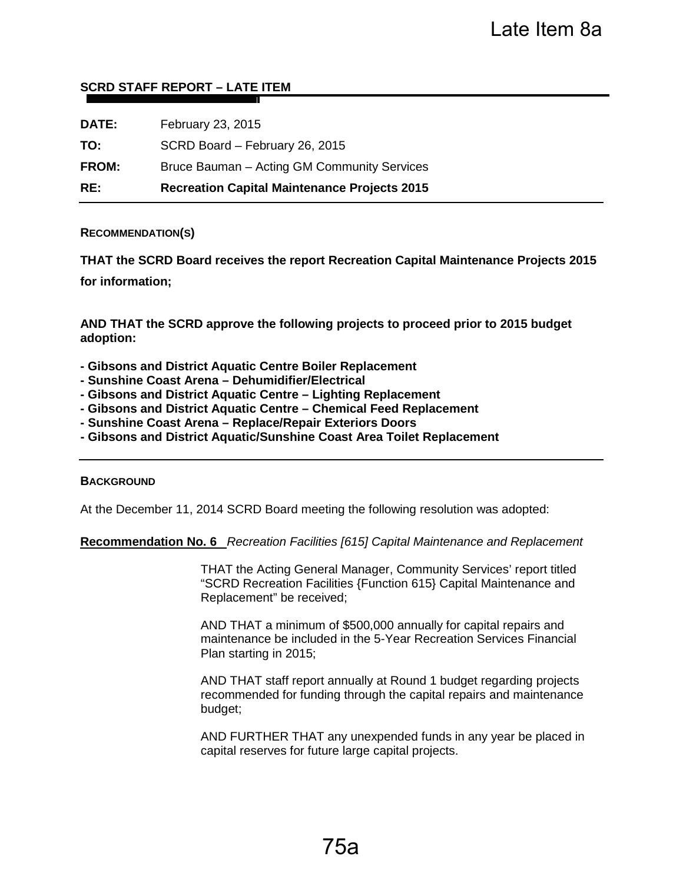#### **SCRD STAFF REPORT – LATE ITEM**

| RE:          | <b>Recreation Capital Maintenance Projects 2015</b> |
|--------------|-----------------------------------------------------|
| <b>FROM:</b> | Bruce Bauman – Acting GM Community Services         |
| TO:          | SCRD Board - February 26, 2015                      |
| DATE:        | February 23, 2015                                   |

#### **RECOMMENDATION(S)**

**THAT the SCRD Board receives the report Recreation Capital Maintenance Projects 2015 for information;**

**AND THAT the SCRD approve the following projects to proceed prior to 2015 budget adoption:**

- **Gibsons and District Aquatic Centre Boiler Replacement**
- **Sunshine Coast Arena Dehumidifier/Electrical**
- **Gibsons and District Aquatic Centre Lighting Replacement**
- **Gibsons and District Aquatic Centre Chemical Feed Replacement**
- **Sunshine Coast Arena Replace/Repair Exteriors Doors**
- **Gibsons and District Aquatic/Sunshine Coast Area Toilet Replacement**

#### **BACKGROUND**

At the December 11, 2014 SCRD Board meeting the following resolution was adopted:

**Recommendation No. 6** *Recreation Facilities [615] Capital Maintenance and Replacement*

THAT the Acting General Manager, Community Services' report titled "SCRD Recreation Facilities {Function 615} Capital Maintenance and Replacement" be received;

AND THAT a minimum of \$500,000 annually for capital repairs and maintenance be included in the 5-Year Recreation Services Financial Plan starting in 2015;

AND THAT staff report annually at Round 1 budget regarding projects recommended for funding through the capital repairs and maintenance budget;

AND FURTHER THAT any unexpended funds in any year be placed in capital reserves for future large capital projects.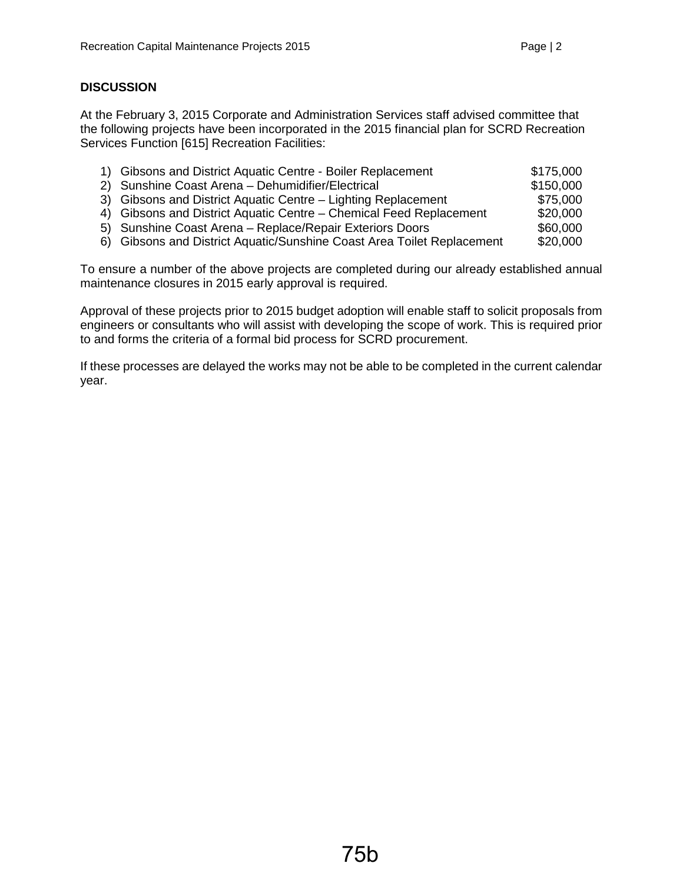## **DISCUSSION**

At the February 3, 2015 Corporate and Administration Services staff advised committee that the following projects have been incorporated in the 2015 financial plan for SCRD Recreation Services Function [615] Recreation Facilities:

| 1) Gibsons and District Aquatic Centre - Boiler Replacement            | \$175,000 |
|------------------------------------------------------------------------|-----------|
| 2) Sunshine Coast Arena - Dehumidifier/Electrical                      | \$150,000 |
| 3) Gibsons and District Aquatic Centre – Lighting Replacement          | \$75,000  |
| 4) Gibsons and District Aquatic Centre – Chemical Feed Replacement     | \$20,000  |
| 5) Sunshine Coast Arena - Replace/Repair Exteriors Doors               | \$60,000  |
| 6) Gibsons and District Aquatic/Sunshine Coast Area Toilet Replacement | \$20,000  |

To ensure a number of the above projects are completed during our already established annual maintenance closures in 2015 early approval is required.

Approval of these projects prior to 2015 budget adoption will enable staff to solicit proposals from engineers or consultants who will assist with developing the scope of work. This is required prior to and forms the criteria of a formal bid process for SCRD procurement.

If these processes are delayed the works may not be able to be completed in the current calendar year.